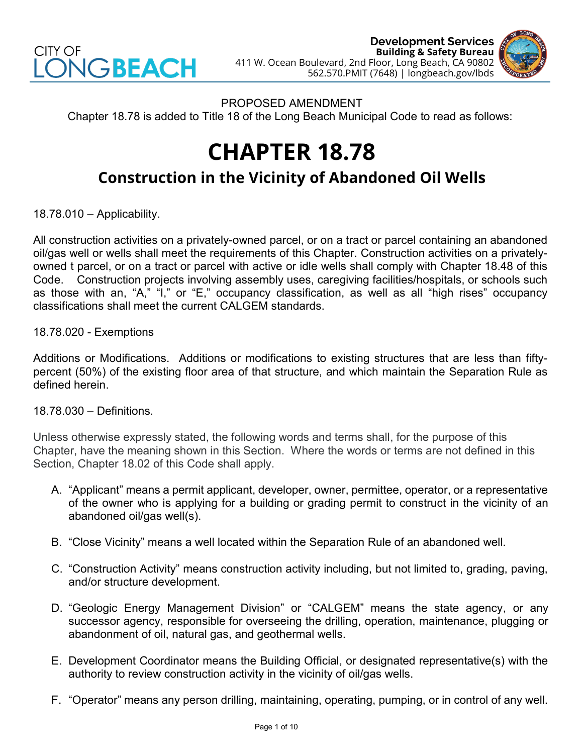



PROPOSED AMENDMENT Chapter 18.78 is added to Title 18 of the Long Beach Municipal Code to read as follows:

# **CHAPTER 18.78**

## **Construction in the Vicinity of Abandoned Oil Wells**

18.78.010 – Applicability.

All construction activities on a privately-owned parcel, or on a tract or parcel containing an abandoned oil/gas well or wells shall meet the requirements of this Chapter. Construction activities on a privatelyowned t parcel, or on a tract or parcel with active or idle wells shall comply with Chapter 18.48 of this Code. Construction projects involving assembly uses, caregiving facilities/hospitals, or schools such as those with an, "A," "I," or "E," occupancy classification, as well as all "high rises" occupancy classifications shall meet the current CALGEM standards.

18.78.020 - Exemptions

Additions or Modifications. Additions or modifications to existing structures that are less than fiftypercent (50%) of the existing floor area of that structure, and which maintain the Separation Rule as defined herein.

### 18.78.030 – Definitions.

Unless otherwise expressly stated, the following words and terms shall, for the purpose of this Chapter, have the meaning shown in this Section. Where the words or terms are not defined in this Section, Chapter 18.02 of this Code shall apply.

- A. "Applicant" means a permit applicant, developer, owner, permittee, operator, or a representative of the owner who is applying for a building or grading permit to construct in the vicinity of an abandoned oil/gas well(s).
- B. "Close Vicinity" means a well located within the Separation Rule of an abandoned well.
- C. "Construction Activity" means construction activity including, but not limited to, grading, paving, and/or structure development.
- D. "Geologic Energy Management Division" or "CALGEM" means the state agency, or any successor agency, responsible for overseeing the drilling, operation, maintenance, plugging or abandonment of oil, natural gas, and geothermal wells.
- E. Development Coordinator means the Building Official, or designated representative(s) with the authority to review construction activity in the vicinity of oil/gas wells.
- F. "Operator" means any person drilling, maintaining, operating, pumping, or in control of any well.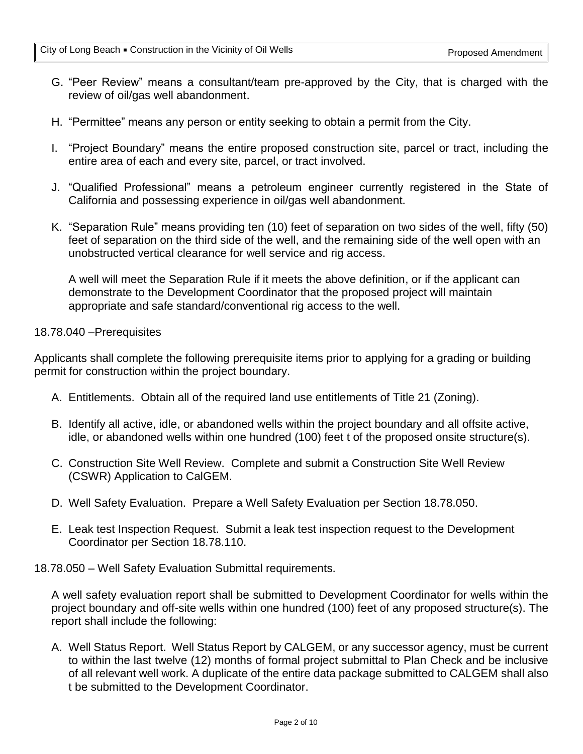- G. "Peer Review" means a consultant/team pre-approved by the City, that is charged with the review of oil/gas well abandonment.
- H. "Permittee" means any person or entity seeking to obtain a permit from the City.
- I. "Project Boundary" means the entire proposed construction site, parcel or tract, including the entire area of each and every site, parcel, or tract involved.
- J. "Qualified Professional" means a petroleum engineer currently registered in the State of California and possessing experience in oil/gas well abandonment.
- K. "Separation Rule" means providing ten (10) feet of separation on two sides of the well, fifty (50) feet of separation on the third side of the well, and the remaining side of the well open with an unobstructed vertical clearance for well service and rig access.

A well will meet the Separation Rule if it meets the above definition, or if the applicant can demonstrate to the Development Coordinator that the proposed project will maintain appropriate and safe standard/conventional rig access to the well.

### 18.78.040 –Prerequisites

Applicants shall complete the following prerequisite items prior to applying for a grading or building permit for construction within the project boundary.

- A. Entitlements. Obtain all of the required land use entitlements of Title 21 (Zoning).
- B. Identify all active, idle, or abandoned wells within the project boundary and all offsite active, idle, or abandoned wells within one hundred (100) feet t of the proposed onsite structure(s).
- C. Construction Site Well Review. Complete and submit a Construction Site Well Review (CSWR) Application to CalGEM.
- D. Well Safety Evaluation. Prepare a Well Safety Evaluation per Section 18.78.050.
- E. Leak test Inspection Request. Submit a leak test inspection request to the Development Coordinator per Section 18.78.110.
- 18.78.050 Well Safety Evaluation Submittal requirements.

A well safety evaluation report shall be submitted to Development Coordinator for wells within the project boundary and off-site wells within one hundred (100) feet of any proposed structure(s). The report shall include the following:

A. Well Status Report. Well Status Report by CALGEM, or any successor agency, must be current to within the last twelve (12) months of formal project submittal to Plan Check and be inclusive of all relevant well work. A duplicate of the entire data package submitted to CALGEM shall also t be submitted to the Development Coordinator.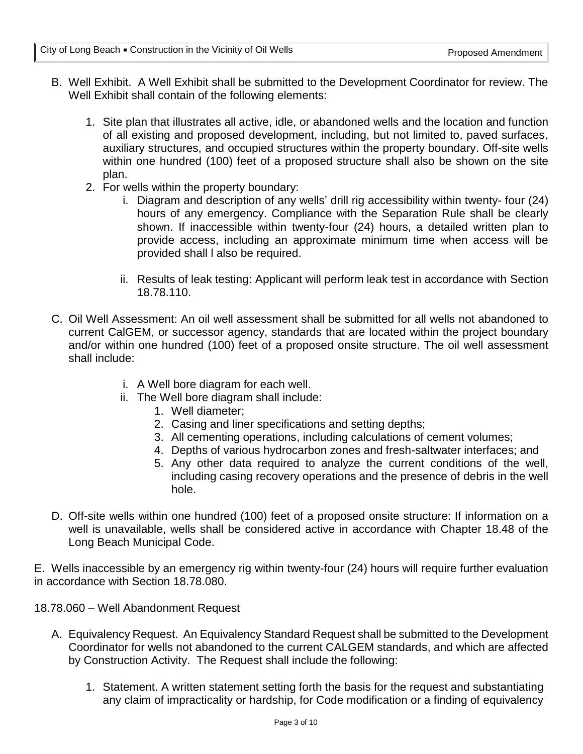- B. Well Exhibit. A Well Exhibit shall be submitted to the Development Coordinator for review. The Well Exhibit shall contain of the following elements:
	- 1. Site plan that illustrates all active, idle, or abandoned wells and the location and function of all existing and proposed development, including, but not limited to, paved surfaces, auxiliary structures, and occupied structures within the property boundary. Off-site wells within one hundred (100) feet of a proposed structure shall also be shown on the site plan.
	- 2. For wells within the property boundary:
		- i. Diagram and description of any wells' drill rig accessibility within twenty- four (24) hours of any emergency. Compliance with the Separation Rule shall be clearly shown. If inaccessible within twenty-four (24) hours, a detailed written plan to provide access, including an approximate minimum time when access will be provided shall l also be required.
		- ii. Results of leak testing: Applicant will perform leak test in accordance with Section 18.78.110.
- C. Oil Well Assessment: An oil well assessment shall be submitted for all wells not abandoned to current CalGEM, or successor agency, standards that are located within the project boundary and/or within one hundred (100) feet of a proposed onsite structure. The oil well assessment shall include:
	- i. A Well bore diagram for each well.
	- ii. The Well bore diagram shall include:
		- 1. Well diameter;
		- 2. Casing and liner specifications and setting depths;
		- 3. All cementing operations, including calculations of cement volumes;
		- 4. Depths of various hydrocarbon zones and fresh-saltwater interfaces; and
		- 5. Any other data required to analyze the current conditions of the well, including casing recovery operations and the presence of debris in the well hole.
- D. Off-site wells within one hundred (100) feet of a proposed onsite structure: If information on a well is unavailable, wells shall be considered active in accordance with Chapter 18.48 of the Long Beach Municipal Code.

E. Wells inaccessible by an emergency rig within twenty-four (24) hours will require further evaluation in accordance with Section 18.78.080.

18.78.060 – Well Abandonment Request

- A. Equivalency Request. An Equivalency Standard Request shall be submitted to the Development Coordinator for wells not abandoned to the current CALGEM standards, and which are affected by Construction Activity. The Request shall include the following:
	- 1. Statement. A written statement setting forth the basis for the request and substantiating any claim of impracticality or hardship, for Code modification or a finding of equivalency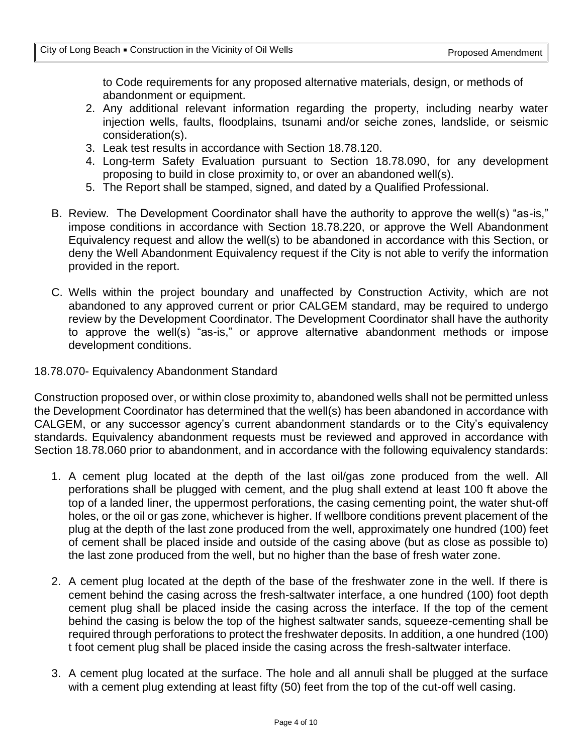to Code requirements for any proposed alternative materials, design, or methods of abandonment or equipment.

- 2. Any additional relevant information regarding the property, including nearby water injection wells, faults, floodplains, tsunami and/or seiche zones, landslide, or seismic consideration(s).
- 3. Leak test results in accordance with Section 18.78.120.
- 4. Long-term Safety Evaluation pursuant to Section 18.78.090, for any development proposing to build in close proximity to, or over an abandoned well(s).
- 5. The Report shall be stamped, signed, and dated by a Qualified Professional.
- B. Review. The Development Coordinator shall have the authority to approve the well(s) "as-is," impose conditions in accordance with Section 18.78.220, or approve the Well Abandonment Equivalency request and allow the well(s) to be abandoned in accordance with this Section, or deny the Well Abandonment Equivalency request if the City is not able to verify the information provided in the report.
- C. Wells within the project boundary and unaffected by Construction Activity, which are not abandoned to any approved current or prior CALGEM standard, may be required to undergo review by the Development Coordinator. The Development Coordinator shall have the authority to approve the well(s) "as-is," or approve alternative abandonment methods or impose development conditions.

#### 18.78.070- Equivalency Abandonment Standard

Construction proposed over, or within close proximity to, abandoned wells shall not be permitted unless the Development Coordinator has determined that the well(s) has been abandoned in accordance with CALGEM, or any successor agency's current abandonment standards or to the City's equivalency standards. Equivalency abandonment requests must be reviewed and approved in accordance with Section 18.78.060 prior to abandonment, and in accordance with the following equivalency standards:

- 1. A cement plug located at the depth of the last oil/gas zone produced from the well. All perforations shall be plugged with cement, and the plug shall extend at least 100 ft above the top of a landed liner, the uppermost perforations, the casing cementing point, the water shut-off holes, or the oil or gas zone, whichever is higher. If wellbore conditions prevent placement of the plug at the depth of the last zone produced from the well, approximately one hundred (100) feet of cement shall be placed inside and outside of the casing above (but as close as possible to) the last zone produced from the well, but no higher than the base of fresh water zone.
- 2. A cement plug located at the depth of the base of the freshwater zone in the well. If there is cement behind the casing across the fresh-saltwater interface, a one hundred (100) foot depth cement plug shall be placed inside the casing across the interface. If the top of the cement behind the casing is below the top of the highest saltwater sands, squeeze-cementing shall be required through perforations to protect the freshwater deposits. In addition, a one hundred (100) t foot cement plug shall be placed inside the casing across the fresh-saltwater interface.
- 3. A cement plug located at the surface. The hole and all annuli shall be plugged at the surface with a cement plug extending at least fifty (50) feet from the top of the cut-off well casing.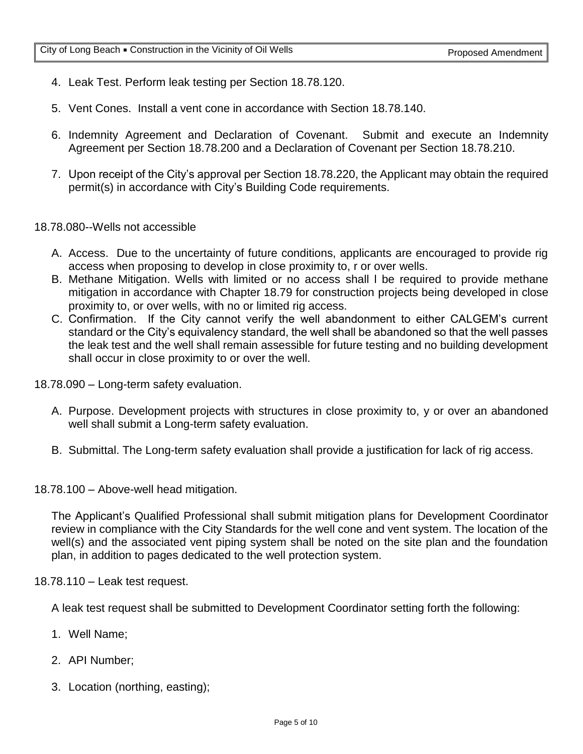- 4. Leak Test. Perform leak testing per Section 18.78.120.
- 5. Vent Cones. Install a vent cone in accordance with Section 18.78.140.
- 6. Indemnity Agreement and Declaration of Covenant. Submit and execute an Indemnity Agreement per Section 18.78.200 and a Declaration of Covenant per Section 18.78.210.
- 7. Upon receipt of the City's approval per Section 18.78.220, the Applicant may obtain the required permit(s) in accordance with City's Building Code requirements.

18.78.080--Wells not accessible

- A. Access. Due to the uncertainty of future conditions, applicants are encouraged to provide rig access when proposing to develop in close proximity to, r or over wells.
- B. Methane Mitigation. Wells with limited or no access shall l be required to provide methane mitigation in accordance with Chapter 18.79 for construction projects being developed in close proximity to, or over wells, with no or limited rig access.
- C. Confirmation. If the City cannot verify the well abandonment to either CALGEM's current standard or the City's equivalency standard, the well shall be abandoned so that the well passes the leak test and the well shall remain assessible for future testing and no building development shall occur in close proximity to or over the well.
- 18.78.090 Long-term safety evaluation.
	- A. Purpose. Development projects with structures in close proximity to, y or over an abandoned well shall submit a Long-term safety evaluation.
	- B. Submittal. The Long-term safety evaluation shall provide a justification for lack of rig access.
- 18.78.100 Above-well head mitigation.

The Applicant's Qualified Professional shall submit mitigation plans for Development Coordinator review in compliance with the City Standards for the well cone and vent system. The location of the well(s) and the associated vent piping system shall be noted on the site plan and the foundation plan, in addition to pages dedicated to the well protection system.

18.78.110 – Leak test request.

A leak test request shall be submitted to Development Coordinator setting forth the following:

- 1. Well Name;
- 2. API Number;
- 3. Location (northing, easting);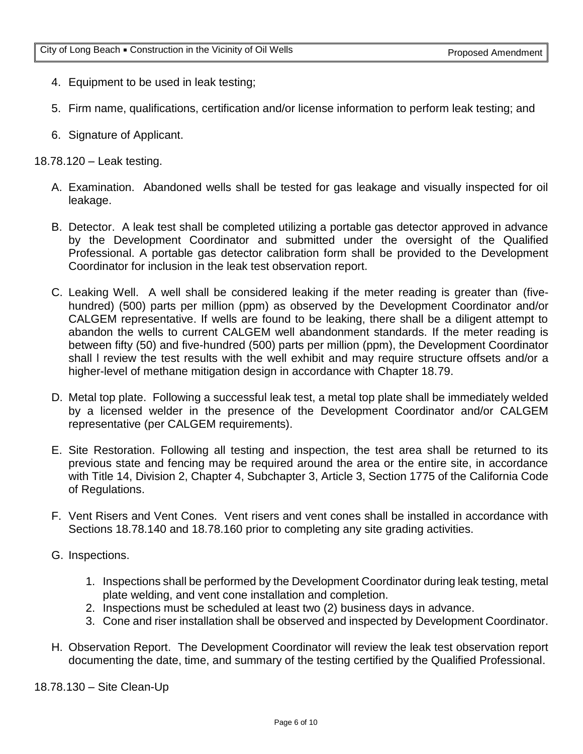- 4. Equipment to be used in leak testing;
- 5. Firm name, qualifications, certification and/or license information to perform leak testing; and
- 6. Signature of Applicant.

18.78.120 – Leak testing.

- A. Examination. Abandoned wells shall be tested for gas leakage and visually inspected for oil leakage.
- B. Detector. A leak test shall be completed utilizing a portable gas detector approved in advance by the Development Coordinator and submitted under the oversight of the Qualified Professional. A portable gas detector calibration form shall be provided to the Development Coordinator for inclusion in the leak test observation report.
- C. Leaking Well. A well shall be considered leaking if the meter reading is greater than (fivehundred) (500) parts per million (ppm) as observed by the Development Coordinator and/or CALGEM representative. If wells are found to be leaking, there shall be a diligent attempt to abandon the wells to current CALGEM well abandonment standards. If the meter reading is between fifty (50) and five-hundred (500) parts per million (ppm), the Development Coordinator shall l review the test results with the well exhibit and may require structure offsets and/or a higher-level of methane mitigation design in accordance with Chapter 18.79.
- D. Metal top plate. Following a successful leak test, a metal top plate shall be immediately welded by a licensed welder in the presence of the Development Coordinator and/or CALGEM representative (per CALGEM requirements).
- E. Site Restoration. Following all testing and inspection, the test area shall be returned to its previous state and fencing may be required around the area or the entire site, in accordance with Title 14, Division 2, Chapter 4, Subchapter 3, Article 3, Section 1775 of the California Code of Regulations.
- F. Vent Risers and Vent Cones. Vent risers and vent cones shall be installed in accordance with Sections 18.78.140 and 18.78.160 prior to completing any site grading activities.
- G. Inspections.
	- 1. Inspections shall be performed by the Development Coordinator during leak testing, metal plate welding, and vent cone installation and completion.
	- 2. Inspections must be scheduled at least two (2) business days in advance.
	- 3. Cone and riser installation shall be observed and inspected by Development Coordinator.
- H. Observation Report. The Development Coordinator will review the leak test observation report documenting the date, time, and summary of the testing certified by the Qualified Professional.

18.78.130 – Site Clean-Up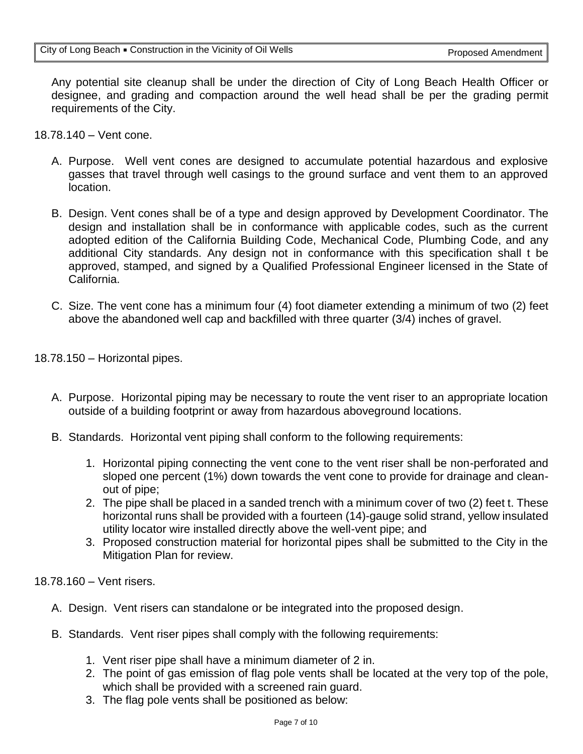Any potential site cleanup shall be under the direction of City of Long Beach Health Officer or designee, and grading and compaction around the well head shall be per the grading permit requirements of the City.

- 18.78.140 Vent cone.
	- A. Purpose. Well vent cones are designed to accumulate potential hazardous and explosive gasses that travel through well casings to the ground surface and vent them to an approved location.
	- B. Design. Vent cones shall be of a type and design approved by Development Coordinator. The design and installation shall be in conformance with applicable codes, such as the current adopted edition of the California Building Code, Mechanical Code, Plumbing Code, and any additional City standards. Any design not in conformance with this specification shall t be approved, stamped, and signed by a Qualified Professional Engineer licensed in the State of California.
	- C. Size. The vent cone has a minimum four (4) foot diameter extending a minimum of two (2) feet above the abandoned well cap and backfilled with three quarter (3/4) inches of gravel.

18.78.150 – Horizontal pipes.

- A. Purpose. Horizontal piping may be necessary to route the vent riser to an appropriate location outside of a building footprint or away from hazardous aboveground locations.
- B. Standards. Horizontal vent piping shall conform to the following requirements:
	- 1. Horizontal piping connecting the vent cone to the vent riser shall be non-perforated and sloped one percent (1%) down towards the vent cone to provide for drainage and cleanout of pipe;
	- 2. The pipe shall be placed in a sanded trench with a minimum cover of two (2) feet t. These horizontal runs shall be provided with a fourteen (14)-gauge solid strand, yellow insulated utility locator wire installed directly above the well-vent pipe; and
	- 3. Proposed construction material for horizontal pipes shall be submitted to the City in the Mitigation Plan for review.

18.78.160 – Vent risers.

- A. Design. Vent risers can standalone or be integrated into the proposed design.
- B. Standards. Vent riser pipes shall comply with the following requirements:
	- 1. Vent riser pipe shall have a minimum diameter of 2 in.
	- 2. The point of gas emission of flag pole vents shall be located at the very top of the pole, which shall be provided with a screened rain guard.
	- 3. The flag pole vents shall be positioned as below: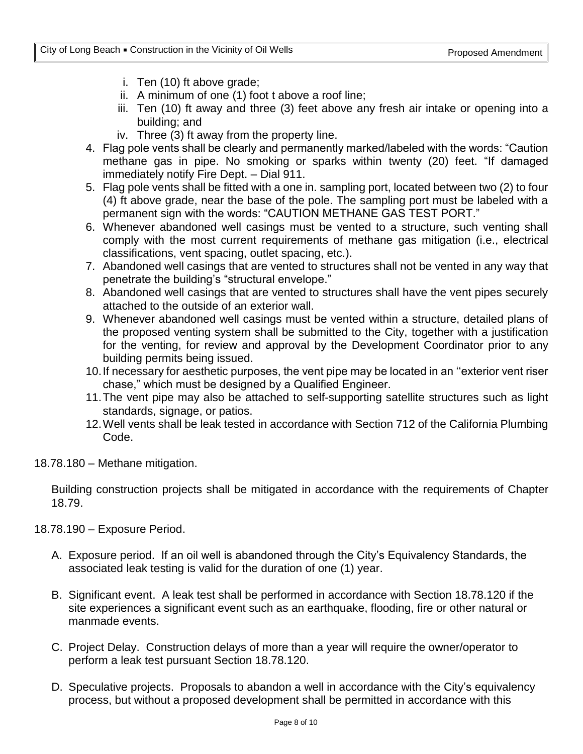- i. Ten (10) ft above grade;
- ii. A minimum of one (1) foot t above a roof line;
- iii. Ten (10) ft away and three (3) feet above any fresh air intake or opening into a building; and
- iv. Three (3) ft away from the property line.
- 4. Flag pole vents shall be clearly and permanently marked/labeled with the words: "Caution methane gas in pipe. No smoking or sparks within twenty (20) feet. "If damaged immediately notify Fire Dept. – Dial 911.
- 5. Flag pole vents shall be fitted with a one in. sampling port, located between two (2) to four (4) ft above grade, near the base of the pole. The sampling port must be labeled with a permanent sign with the words: "CAUTION METHANE GAS TEST PORT."
- 6. Whenever abandoned well casings must be vented to a structure, such venting shall comply with the most current requirements of methane gas mitigation (i.e., electrical classifications, vent spacing, outlet spacing, etc.).
- 7. Abandoned well casings that are vented to structures shall not be vented in any way that penetrate the building's "structural envelope."
- 8. Abandoned well casings that are vented to structures shall have the vent pipes securely attached to the outside of an exterior wall.
- 9. Whenever abandoned well casings must be vented within a structure, detailed plans of the proposed venting system shall be submitted to the City, together with a justification for the venting, for review and approval by the Development Coordinator prior to any building permits being issued.
- 10.If necessary for aesthetic purposes, the vent pipe may be located in an ''exterior vent riser chase," which must be designed by a Qualified Engineer.
- 11.The vent pipe may also be attached to self-supporting satellite structures such as light standards, signage, or patios.
- 12.Well vents shall be leak tested in accordance with Section 712 of the California Plumbing Code.
- 18.78.180 Methane mitigation.

Building construction projects shall be mitigated in accordance with the requirements of Chapter 18.79.

18.78.190 – Exposure Period.

- A. Exposure period. If an oil well is abandoned through the City's Equivalency Standards, the associated leak testing is valid for the duration of one (1) year.
- B. Significant event. A leak test shall be performed in accordance with Section 18.78.120 if the site experiences a significant event such as an earthquake, flooding, fire or other natural or manmade events.
- C. Project Delay. Construction delays of more than a year will require the owner/operator to perform a leak test pursuant Section 18.78.120.
- D. Speculative projects. Proposals to abandon a well in accordance with the City's equivalency process, but without a proposed development shall be permitted in accordance with this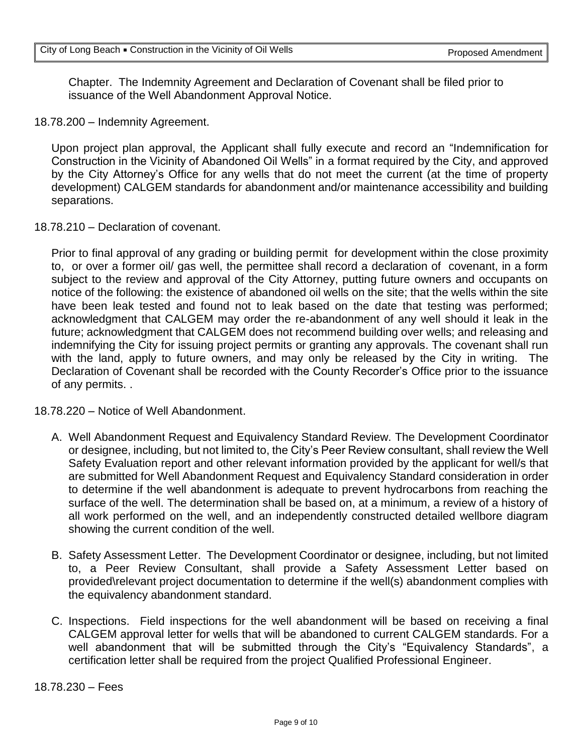Chapter. The Indemnity Agreement and Declaration of Covenant shall be filed prior to issuance of the Well Abandonment Approval Notice.

18.78.200 – Indemnity Agreement.

Upon project plan approval, the Applicant shall fully execute and record an "Indemnification for Construction in the Vicinity of Abandoned Oil Wells" in a format required by the City, and approved by the City Attorney's Office for any wells that do not meet the current (at the time of property development) CALGEM standards for abandonment and/or maintenance accessibility and building separations.

18.78.210 – Declaration of covenant.

Prior to final approval of any grading or building permit for development within the close proximity to, or over a former oil/ gas well, the permittee shall record a declaration of covenant, in a form subject to the review and approval of the City Attorney, putting future owners and occupants on notice of the following: the existence of abandoned oil wells on the site; that the wells within the site have been leak tested and found not to leak based on the date that testing was performed; acknowledgment that CALGEM may order the re-abandonment of any well should it leak in the future; acknowledgment that CALGEM does not recommend building over wells; and releasing and indemnifying the City for issuing project permits or granting any approvals. The covenant shall run with the land, apply to future owners, and may only be released by the City in writing. The Declaration of Covenant shall be recorded with the County Recorder's Office prior to the issuance of any permits. .

18.78.220 – Notice of Well Abandonment.

- A. Well Abandonment Request and Equivalency Standard Review. The Development Coordinator or designee, including, but not limited to, the City's Peer Review consultant, shall review the Well Safety Evaluation report and other relevant information provided by the applicant for well/s that are submitted for Well Abandonment Request and Equivalency Standard consideration in order to determine if the well abandonment is adequate to prevent hydrocarbons from reaching the surface of the well. The determination shall be based on, at a minimum, a review of a history of all work performed on the well, and an independently constructed detailed wellbore diagram showing the current condition of the well.
- B. Safety Assessment Letter. The Development Coordinator or designee, including, but not limited to, a Peer Review Consultant, shall provide a Safety Assessment Letter based on provided\relevant project documentation to determine if the well(s) abandonment complies with the equivalency abandonment standard.
- C. Inspections. Field inspections for the well abandonment will be based on receiving a final CALGEM approval letter for wells that will be abandoned to current CALGEM standards. For a well abandonment that will be submitted through the City's "Equivalency Standards", a certification letter shall be required from the project Qualified Professional Engineer.